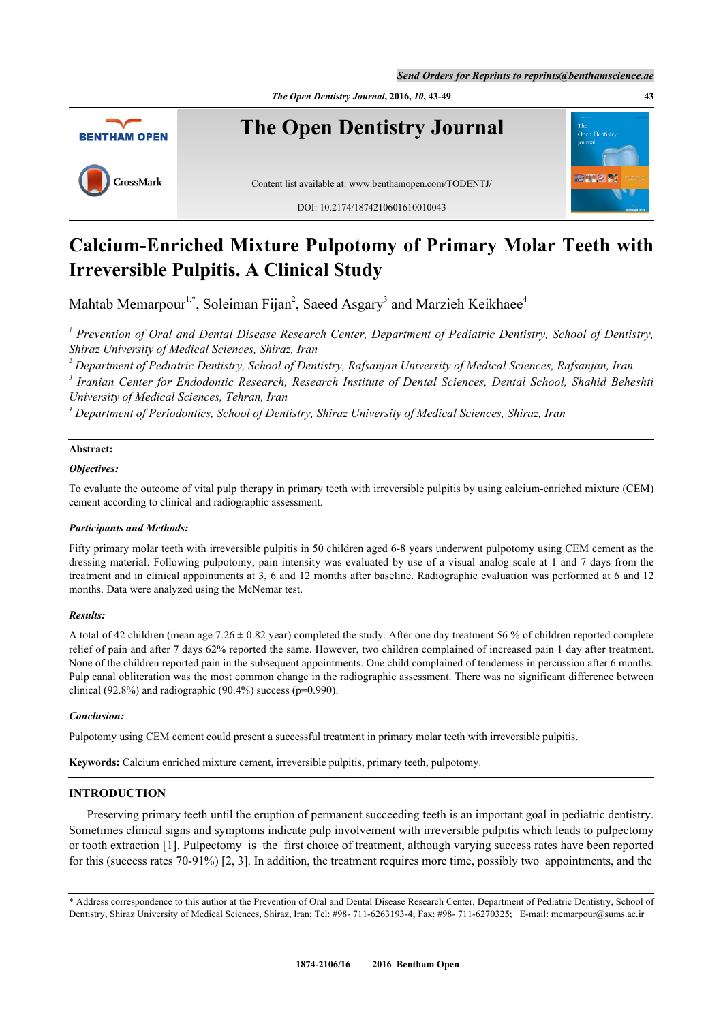



# **Calcium-Enriched Mixture Pulpotomy of Primary Molar Teeth with Irreversible Pulpitis. A Clinical Study**

Mahtab Memarpour<sup>[1](#page--1-0),[\\*](#page-0-0)</sup>, Soleiman Fijan<sup>[2](#page--1-0)</sup>, Saeed Asgary<sup>[3](#page--1-0)</sup> and Marzieh Keikhaee<sup>[4](#page--1-0)</sup>

*1 Prevention of Oral and Dental Disease Research Center, Department of Pediatric Dentistry, School of Dentistry, Shiraz University of Medical Sciences, Shiraz, Iran*

*2 Department of Pediatric Dentistry, School of Dentistry, Rafsanjan University of Medical Sciences, Rafsanjan, Iran*

*3 Iranian Center for Endodontic Research, Research Institute of Dental Sciences, Dental School, Shahid Beheshti University of Medical Sciences, Tehran, Iran*

*4 Department of Periodontics, School of Dentistry, Shiraz University of Medical Sciences, Shiraz, Iran*

# **Abstract:**

#### *Objectives:*

To evaluate the outcome of vital pulp therapy in primary teeth with irreversible pulpitis by using calcium-enriched mixture (CEM) cement according to clinical and radiographic assessment.

## *Participants and Methods:*

Fifty primary molar teeth with irreversible pulpitis in 50 children aged 6-8 years underwent pulpotomy using CEM cement as the dressing material. Following pulpotomy, pain intensity was evaluated by use of a visual analog scale at 1 and 7 days from the treatment and in clinical appointments at 3, 6 and 12 months after baseline. Radiographic evaluation was performed at 6 and 12 months. Data were analyzed using the McNemar test.

#### *Results:*

A total of 42 children (mean age  $7.26 \pm 0.82$  year) completed the study. After one day treatment 56 % of children reported complete relief of pain and after 7 days 62% reported the same. However, two children complained of increased pain 1 day after treatment. None of the children reported pain in the subsequent appointments. One child complained of tenderness in percussion after 6 months. Pulp canal obliteration was the most common change in the radiographic assessment. There was no significant difference between clinical (92.8%) and radiographic (90.4%) success ( $p=0.990$ ).

#### *Conclusion:*

Pulpotomy using CEM cement could present a successful treatment in primary molar teeth with irreversible pulpitis.

**Keywords:** Calcium enriched mixture cement, irreversible pulpitis, primary teeth, pulpotomy.

# **INTRODUCTION**

Preserving primary teeth until the eruption of permanent succeeding teeth is an important goal in pediatric dentistry. Sometimes clinical signs and symptoms indicate pulp involvement with irreversible pulpitis which leads to pulpectomy or tooth extraction [\[1](#page-5-0)]. Pulpectomy is the first choice of treatment, although varying success rates have been reported for this (success rates 70-91%) [[2,](#page-5-1) [3\]](#page-5-2). In addition, the treatment requires more time, possibly two appointments, and the

<span id="page-0-0"></span><sup>\*</sup> Address correspondence to this author at the Prevention of Oral and Dental Disease Research Center, Department of Pediatric Dentistry, School of Dentistry, Shiraz University of Medical Sciences, Shiraz, Iran; Tel: #98- 711-6263193-4; Fax: #98- 711-6270325; E-mail: [memarpour@sums.ac.ir](mailto:memarpour@sums.ac.ir)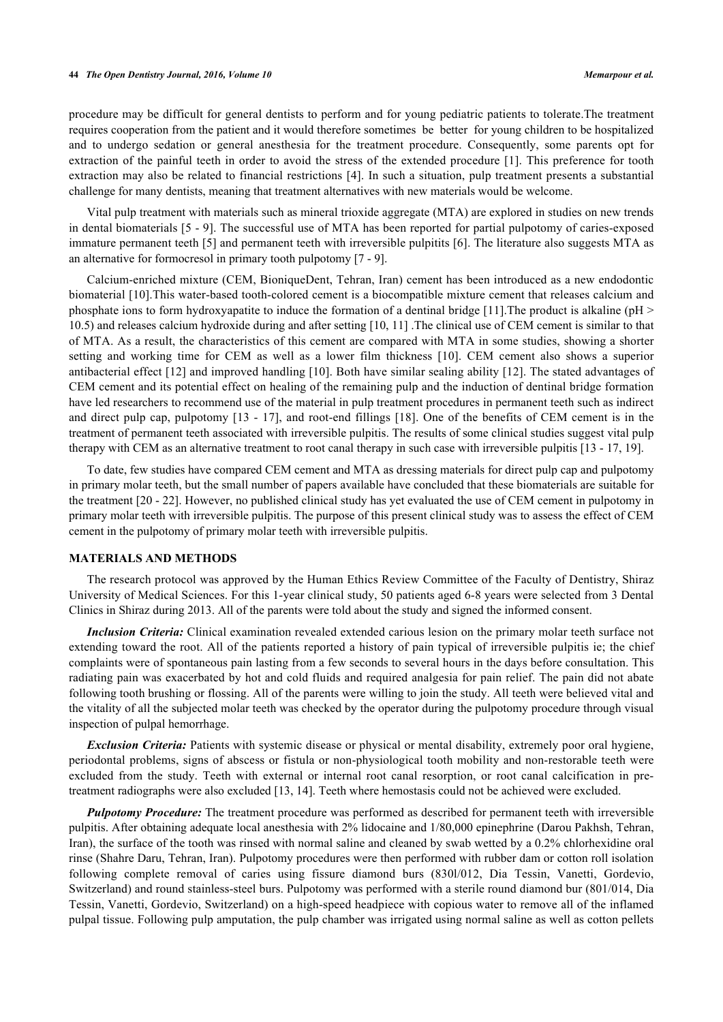#### **44** *The Open Dentistry Journal, 2016, Volume 10 Memarpour et al.*

procedure may be difficult for general dentists to perform and for young pediatric patients to tolerate.The treatment requires cooperation from the patient and it would therefore sometimes be better for young children to be hospitalized and to undergo sedation or general anesthesia for the treatment procedure. Consequently, some parents opt for extraction of the painful teeth in order to avoid the stress of the extended procedure [[1](#page-5-0)]. This preference for tooth extraction may also be related to financial restrictions [[4](#page-5-3)]. In such a situation, pulp treatment presents a substantial challenge for many dentists, meaning that treatment alternatives with new materials would be welcome.

Vital pulp treatment with materials such as mineral trioxide aggregate (MTA) are explored in studies on new trends in dental biomaterials [[5](#page-5-4) - [9](#page-5-5)]. The successful use of MTA has been reported for partial pulpotomy of caries-exposed immature permanent teeth [[5](#page-5-4)] and permanent teeth with irreversible pulpitits [[6\]](#page-5-6). The literature also suggests MTA as an alternative for formocresol in primary tooth pulpotomy [[7](#page-5-7) - [9](#page-5-5)].

Calcium-enriched mixture (CEM, BioniqueDent, Tehran, Iran) cement has been introduced as a new endodontic biomaterial [[10\]](#page-5-8).This water-based tooth-colored cement is a biocompatible mixture cement that releases calcium and phosphate ions to form hydroxyapatite to induce the formation of a dentinal bridge [[11\]](#page-5-9).The product is alkaline (pH > 10.5) and releases calcium hydroxide during and after setting [[10,](#page-5-8) [11\]](#page-5-9) .The clinical use of CEM cement is similar to that of MTA. As a result, the characteristics of this cement are compared with MTA in some studies, showing a shorter setting and working time for CEM as well as a lower film thickness[[10](#page-5-8)]. CEM cement also shows a superior antibacterial effect [[12\]](#page-5-10) and improved handling [[10](#page-5-8)]. Both have similar sealing ability [\[12\]](#page-5-10). The stated advantages of CEM cement and its potential effect on healing of the remaining pulp and the induction of dentinal bridge formation have led researchers to recommend use of the material in pulp treatment procedures in permanent teeth such as indirect and direct pulp cap, pulpotomy [\[13](#page-5-11) - [17](#page-6-0)], and root-end fillings [[18\]](#page-6-1). One of the benefits of CEM cement is in the treatment of permanent teeth associated with irreversible pulpitis. The results of some clinical studies suggest vital pulp therapy with CEM as an alternative treatment to root canal therapy in such case with irreversible pulpitis [\[13](#page-5-11) - [17,](#page-6-0) [19\]](#page-6-2).

To date, few studies have compared CEM cement and MTA as dressing materials for direct pulp cap and pulpotomy in primary molar teeth, but the small number of papers available have concluded that these biomaterials are suitable for the treatment [\[20](#page-6-3) - [22\]](#page-6-4). However, no published clinical study has yet evaluated the use of CEM cement in pulpotomy in primary molar teeth with irreversible pulpitis. The purpose of this present clinical study was to assess the effect of CEM cement in the pulpotomy of primary molar teeth with irreversible pulpitis.

## **MATERIALS AND METHODS**

The research protocol was approved by the Human Ethics Review Committee of the Faculty of Dentistry, Shiraz University of Medical Sciences. For this 1-year clinical study, 50 patients aged 6-8 years were selected from 3 Dental Clinics in Shiraz during 2013. All of the parents were told about the study and signed the informed consent.

*Inclusion Criteria:* Clinical examination revealed extended carious lesion on the primary molar teeth surface not extending toward the root. All of the patients reported a history of pain typical of irreversible pulpitis ie; the chief complaints were of spontaneous pain lasting from a few seconds to several hours in the days before consultation. This radiating pain was exacerbated by hot and cold fluids and required analgesia for pain relief. The pain did not abate following tooth brushing or flossing. All of the parents were willing to join the study. All teeth were believed vital and the vitality of all the subjected molar teeth was checked by the operator during the pulpotomy procedure through visual inspection of pulpal hemorrhage.

*Exclusion Criteria:* Patients with systemic disease or physical or mental disability, extremely poor oral hygiene, periodontal problems, signs of abscess or fistula or non-physiological tooth mobility and non-restorable teeth were excluded from the study. Teeth with external or internal root canal resorption, or root canal calcification in pretreatment radiographs were also excluded [\[13](#page-5-11), [14](#page-5-12)]. Teeth where hemostasis could not be achieved were excluded.

*Pulpotomy Procedure:* The treatment procedure was performed as described for permanent teeth with irreversible pulpitis. After obtaining adequate local anesthesia with 2% lidocaine and 1/80,000 epinephrine (Darou Pakhsh, Tehran, Iran), the surface of the tooth was rinsed with normal saline and cleaned by swab wetted by a 0.2% chlorhexidine oral rinse (Shahre Daru, Tehran, Iran). Pulpotomy procedures were then performed with rubber dam or cotton roll isolation following complete removal of caries using fissure diamond burs (830l/012, Dia Tessin, Vanetti, Gordevio, Switzerland) and round stainless-steel burs. Pulpotomy was performed with a sterile round diamond bur (801/014, Dia Tessin, Vanetti, Gordevio, Switzerland) on a high-speed headpiece with copious water to remove all of the inflamed pulpal tissue. Following pulp amputation, the pulp chamber was irrigated using normal saline as well as cotton pellets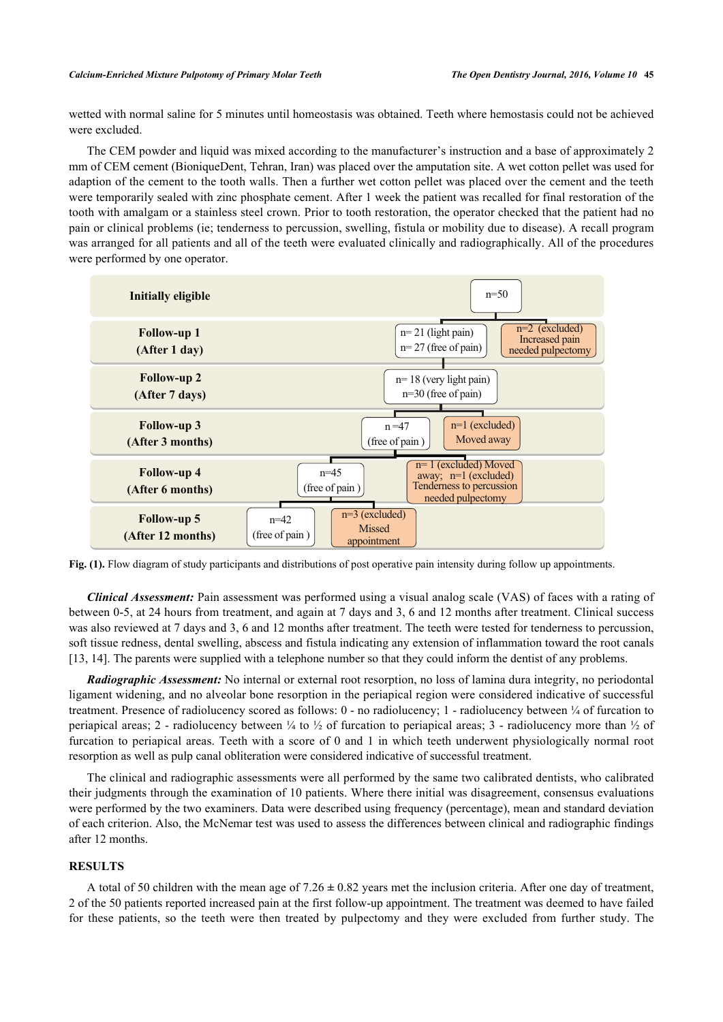wetted with normal saline for 5 minutes until homeostasis was obtained. Teeth where hemostasis could not be achieved were excluded.

The CEM powder and liquid was mixed according to the manufacturer's instruction and a base of approximately 2 mm of CEM cement (BioniqueDent, Tehran, Iran) was placed over the amputation site. A wet cotton pellet was used for adaption of the cement to the tooth walls. Then a further wet cotton pellet was placed over the cement and the teeth were temporarily sealed with zinc phosphate cement. After 1 week the patient was recalled for final restoration of the tooth with amalgam or a stainless steel crown. Prior to tooth restoration, the operator checked that the patient had no pain or clinical problems (ie; tenderness to percussion, swelling, fistula or mobility due to disease). A recall program was arranged for all patients and all of the teeth were evaluated clinically and radiographically. All of the procedures were performed by one operator.

<span id="page-2-0"></span>

**Fig. (1).** Flow diagram of study participants and distributions of post operative pain intensity during follow up appointments.

*Clinical Assessment:* Pain assessment was performed using a visual analog scale (VAS) of faces with a rating of between 0-5, at 24 hours from treatment, and again at 7 days and 3, 6 and 12 months after treatment. Clinical success was also reviewed at 7 days and 3, 6 and 12 months after treatment. The teeth were tested for tenderness to percussion, soft tissue redness, dental swelling, abscess and fistula indicating any extension of inflammation toward the root canals [\[13](#page-5-11), [14](#page-5-12)]. The parents were supplied with a telephone number so that they could inform the dentist of any problems.

*Radiographic Assessment:* No internal or external root resorption, no loss of lamina dura integrity, no periodontal ligament widening, and no alveolar bone resorption in the periapical region were considered indicative of successful treatment. Presence of radiolucency scored as follows:  $0$  - no radiolucency; 1 - radiolucency between  $\frac{1}{4}$  of furcation to periapical areas; 2 - radiolucency between  $\frac{1}{4}$  to  $\frac{1}{2}$  of furcation to periapical areas; 3 - radiolucency more than  $\frac{1}{2}$  of furcation to periapical areas. Teeth with a score of 0 and 1 in which teeth underwent physiologically normal root resorption as well as pulp canal obliteration were considered indicative of successful treatment.

The clinical and radiographic assessments were all performed by the same two calibrated dentists, who calibrated their judgments through the examination of 10 patients. Where there initial was disagreement, consensus evaluations were performed by the two examiners. Data were described using frequency (percentage), mean and standard deviation of each criterion. Also, the McNemar test was used to assess the differences between clinical and radiographic findings after 12 months.

## **RESULTS**

A total of 50 children with the mean age of 7.26 **±** 0.82 years met the inclusion criteria. After one day of treatment, 2 of the 50 patients reported increased pain at the first follow-up appointment. The treatment was deemed to have failed for these patients, so the teeth were then treated by pulpectomy and they were excluded from further study. The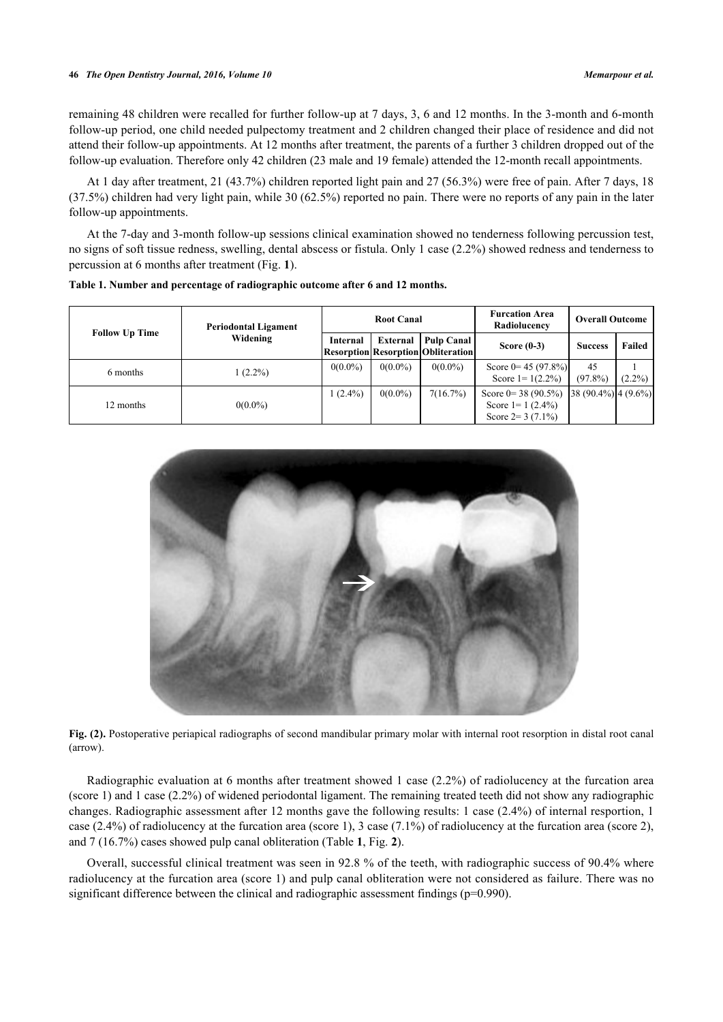remaining 48 children were recalled for further follow-up at 7 days, 3, 6 and 12 months. In the 3-month and 6-month follow-up period, one child needed pulpectomy treatment and 2 children changed their place of residence and did not attend their follow-up appointments. At 12 months after treatment, the parents of a further 3 children dropped out of the follow-up evaluation. Therefore only 42 children (23 male and 19 female) attended the 12-month recall appointments.

At 1 day after treatment, 21 (43.7%) children reported light pain and 27 (56.3%) were free of pain. After 7 days, 18 (37.5%) children had very light pain, while 30 (62.5%) reported no pain. There were no reports of any pain in the later follow-up appointments.

At the 7-day and 3-month follow-up sessions clinical examination showed no tenderness following percussion test, no signs of soft tissue redness, swelling, dental abscess or fistula. Only 1 case (2.2%) showed redness and tenderness to percussion at 6 months after treatment (Fig. **[1](#page-2-0)**).

| <b>Follow Up Time</b> | <b>Periodontal Ligament</b><br>Widening | <b>Root Canal</b> |            |                                                         | <b>Furcation Area</b><br>Radiolucency                                  | <b>Overall Outcome</b>  |           |
|-----------------------|-----------------------------------------|-------------------|------------|---------------------------------------------------------|------------------------------------------------------------------------|-------------------------|-----------|
|                       |                                         | Internal          | External   | Pulp Canal<br><b>Resorption Resorption Obliteration</b> | Score $(0-3)$                                                          | <b>Success</b>          | Failed    |
| 6 months              | $(2.2\%)$                               | $0(0.0\%)$        | $0(0.0\%)$ | $0(0.0\%)$                                              | Score $0 = 45 (97.8\%)$<br>Score $1 = 1(2.2\%)$                        | 45<br>$(97.8\%)$        | $(2.2\%)$ |
| 12 months             | $0(0.0\%)$                              | $(2.4\%)$         | $0(0.0\%)$ | 7(16.7%)                                                | Score $0 = 38 (90.5\%)$<br>Score $1 = 1 (2.4\%)$<br>Score $2=3(7.1\%)$ | $ 38(90.4\%) 4(9.6\%) $ |           |

<span id="page-3-0"></span>**Table 1. Number and percentage of radiographic outcome after 6 and 12 months.**

<span id="page-3-1"></span>

**Fig. (2).** Postoperative periapical radiographs of second mandibular primary molar with internal root resorption in distal root canal (arrow).

Radiographic evaluation at 6 months after treatment showed 1 case (2.2%) of radiolucency at the furcation area (score 1) and 1 case (2.2%) of widened periodontal ligament. The remaining treated teeth did not show any radiographic changes. Radiographic assessment after 12 months gave the following results: 1 case (2.4%) of internal resportion, 1 case (2.4%) of radiolucency at the furcation area (score 1), 3 case (7.1%) of radiolucency at the furcation area (score 2), and 7 (16.7%) cases showed pulp canal obliteration (Table **[1](#page-3-0)**, Fig. **[2](#page-3-1)**).

Overall, successful clinical treatment was seen in 92.8 % of the teeth, with radiographic success of 90.4% where radiolucency at the furcation area (score 1) and pulp canal obliteration were not considered as failure. There was no significant difference between the clinical and radiographic assessment findings (p=0.990).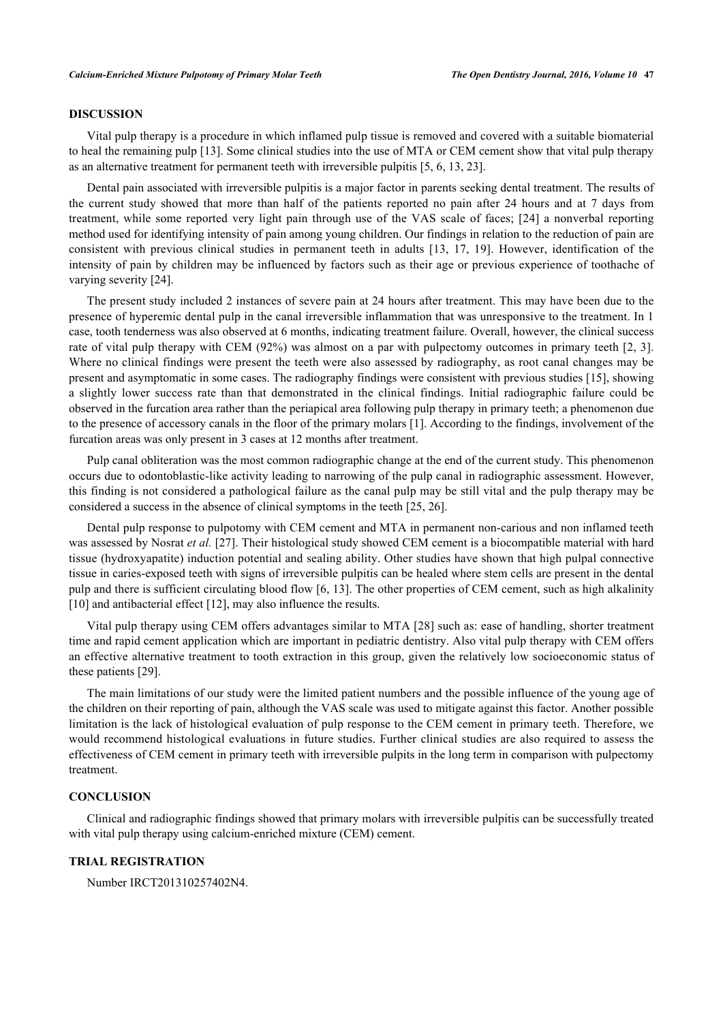## **DISCUSSION**

Vital pulp therapy is a procedure in which inflamed pulp tissue is removed and covered with a suitable biomaterial to heal the remaining pulp [\[13](#page-5-11)]. Some clinical studies into the use of MTA or CEM cement show that vital pulp therapy as an alternative treatment for permanent teeth with irreversible pulpitis [\[5](#page-5-4), [6](#page-5-6), [13](#page-5-11), [23](#page-6-5)].

Dental pain associated with irreversible pulpitis is a major factor in parents seeking dental treatment. The results of the current study showed that more than half of the patients reported no pain after 24 hours and at 7 days from treatment, while some reported very light pain through use of the VAS scale of faces; [[24\]](#page-6-6) a nonverbal reporting method used for identifying intensity of pain among young children. Our findings in relation to the reduction of pain are consistent with previous clinical studies in permanent teeth in adults[[13](#page-5-11), [17](#page-6-0), [19\]](#page-6-2). However, identification of the intensity of pain by children may be influenced by factors such as their age or previous experience of toothache of varying severity [\[24](#page-6-6)].

The present study included 2 instances of severe pain at 24 hours after treatment. This may have been due to the presence of hyperemic dental pulp in the canal irreversible inflammation that was unresponsive to the treatment. In 1 case, tooth tenderness was also observed at 6 months, indicating treatment failure. Overall, however, the clinical success rate of vital pulp therapy with CEM (92%) was almost on a par with pulpectomy outcomes in primary teeth [[2,](#page-5-1) [3\]](#page-5-2). Where no clinical findings were present the teeth were also assessed by radiography, as root canal changes may be present and asymptomatic in some cases. The radiography findings were consistent with previous studies [[15](#page-5-13)], showing a slightly lower success rate than that demonstrated in the clinical findings. Initial radiographic failure could be observed in the furcation area rather than the periapical area following pulp therapy in primary teeth; a phenomenon due to the presence of accessory canals in the floor of the primary molars [[1\]](#page-5-0). According to the findings, involvement of the furcation areas was only present in 3 cases at 12 months after treatment.

Pulp canal obliteration was the most common radiographic change at the end of the current study. This phenomenon occurs due to odontoblastic-like activity leading to narrowing of the pulp canal in radiographic assessment. However, this finding is not considered a pathological failure as the canal pulp may be still vital and the pulp therapy may be considered a success in the absence of clinical symptoms in the teeth [[25,](#page-6-7) [26\]](#page-6-8).

Dental pulp response to pulpotomy with CEM cement and MTA in permanent non-carious and non inflamed teeth was assessed by Nosrat *et al.* [\[27\]](#page-6-9). Their histological study showed CEM cement is a biocompatible material with hard tissue (hydroxyapatite) induction potential and sealing ability. Other studies have shown that high pulpal connective tissue in caries-exposed teeth with signs of irreversible pulpitis can be healed where stem cells are present in the dental pulp and there is sufficient circulating blood flow [[6,](#page-5-6) [13](#page-5-11)]. The other properties of CEM cement, such as high alkalinity [\[10](#page-5-8)] and antibacterial effect [\[12](#page-5-10)], may also influence the results.

Vital pulp therapy using CEM offers advantages similar to MTA [\[28](#page-6-10)] such as: ease of handling, shorter treatment time and rapid cement application which are important in pediatric dentistry. Also vital pulp therapy with CEM offers an effective alternative treatment to tooth extraction in this group, given the relatively low socioeconomic status of these patients [[29\]](#page-6-11).

The main limitations of our study were the limited patient numbers and the possible influence of the young age of the children on their reporting of pain, although the VAS scale was used to mitigate against this factor. Another possible limitation is the lack of histological evaluation of pulp response to the CEM cement in primary teeth. Therefore, we would recommend histological evaluations in future studies. Further clinical studies are also required to assess the effectiveness of CEM cement in primary teeth with irreversible pulpits in the long term in comparison with pulpectomy treatment.

## **CONCLUSION**

Clinical and radiographic findings showed that primary molars with irreversible pulpitis can be successfully treated with vital pulp therapy using calcium-enriched mixture (CEM) cement.

## **TRIAL REGISTRATION**

Number IRCT201310257402N4.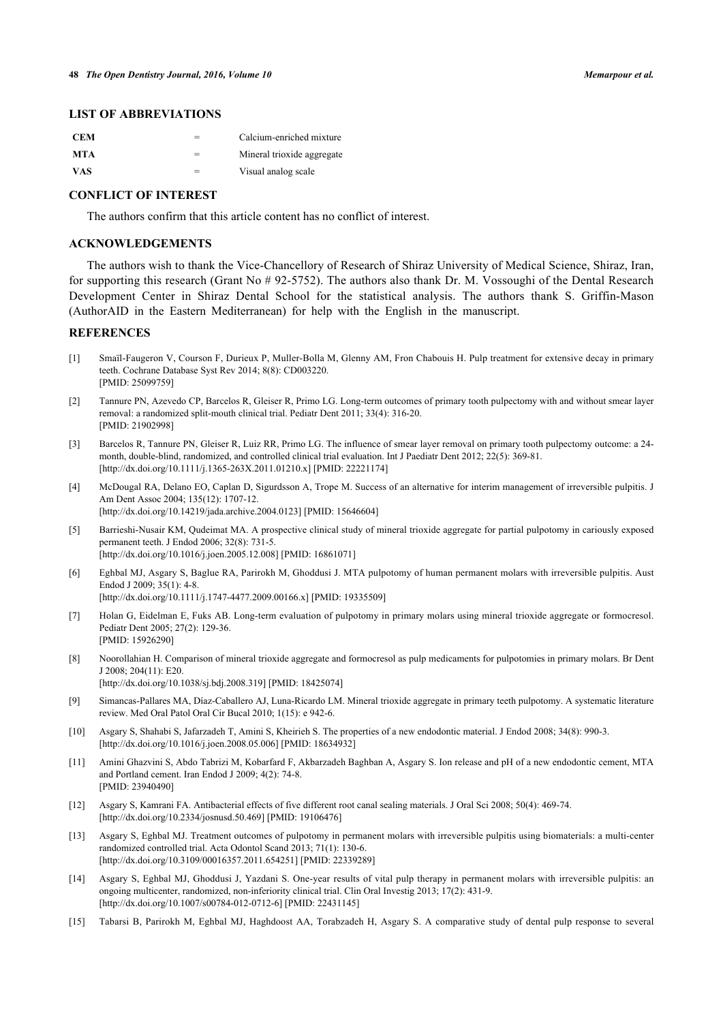# **LIST OF ABBREVIATIONS**

| <b>CEM</b> | Calcium-enriched mixture   |
|------------|----------------------------|
| MTA        | Mineral trioxide aggregate |
| <b>VAS</b> | Visual analog scale        |

## **CONFLICT OF INTEREST**

The authors confirm that this article content has no conflict of interest.

# **ACKNOWLEDGEMENTS**

The authors wish to thank the Vice-Chancellory of Research of Shiraz University of Medical Science, Shiraz, Iran, for supporting this research (Grant No # 92-5752). The authors also thank Dr. M. Vossoughi of the Dental Research Development Center in Shiraz Dental School for the statistical analysis. The authors thank S. Griffin-Mason (AuthorAID in the Eastern Mediterranean) for help with the English in the manuscript.

#### **REFERENCES**

- <span id="page-5-0"></span>[1] Smaïl-Faugeron V, Courson F, Durieux P, Muller-Bolla M, Glenny AM, Fron Chabouis H. Pulp treatment for extensive decay in primary teeth. Cochrane Database Syst Rev 2014; 8(8): CD003220. [PMID: [25099759\]](http://www.ncbi.nlm.nih.gov/pubmed/25099759)
- <span id="page-5-1"></span>[2] Tannure PN, Azevedo CP, Barcelos R, Gleiser R, Primo LG. Long-term outcomes of primary tooth pulpectomy with and without smear layer removal: a randomized split-mouth clinical trial. Pediatr Dent 2011; 33(4): 316-20. [PMID: [21902998\]](http://www.ncbi.nlm.nih.gov/pubmed/21902998)
- <span id="page-5-2"></span>[3] Barcelos R, Tannure PN, Gleiser R, Luiz RR, Primo LG. The influence of smear layer removal on primary tooth pulpectomy outcome: a 24 month, double-blind, randomized, and controlled clinical trial evaluation. Int J Paediatr Dent 2012; 22(5): 369-81. [\[http://dx.doi.org/10.1111/j.1365-263X.2011.01210.x](http://dx.doi.org/10.1111/j.1365-263X.2011.01210.x)] [PMID: [22221174](http://www.ncbi.nlm.nih.gov/pubmed/22221174)]
- <span id="page-5-3"></span>[4] McDougal RA, Delano EO, Caplan D, Sigurdsson A, Trope M. Success of an alternative for interim management of irreversible pulpitis. J Am Dent Assoc 2004; 135(12): 1707-12. [\[http://dx.doi.org/10.14219/jada.archive.2004.0123\]](http://dx.doi.org/10.14219/jada.archive.2004.0123) [PMID: [15646604](http://www.ncbi.nlm.nih.gov/pubmed/15646604)]
- <span id="page-5-4"></span>[5] Barrieshi-Nusair KM, Qudeimat MA. A prospective clinical study of mineral trioxide aggregate for partial pulpotomy in cariously exposed permanent teeth. J Endod 2006; 32(8): 731-5. [\[http://dx.doi.org/10.1016/j.joen.2005.12.008\]](http://dx.doi.org/10.1016/j.joen.2005.12.008) [PMID: [16861071](http://www.ncbi.nlm.nih.gov/pubmed/16861071)]
- <span id="page-5-6"></span>[6] Eghbal MJ, Asgary S, Baglue RA, Parirokh M, Ghoddusi J. MTA pulpotomy of human permanent molars with irreversible pulpitis. Aust Endod J 2009; 35(1): 4-8.
	- [\[http://dx.doi.org/10.1111/j.1747-4477.2009.00166.x\]](http://dx.doi.org/10.1111/j.1747-4477.2009.00166.x) [PMID: [19335509](http://www.ncbi.nlm.nih.gov/pubmed/19335509)]
- <span id="page-5-7"></span>[7] Holan G, Eidelman E, Fuks AB. Long-term evaluation of pulpotomy in primary molars using mineral trioxide aggregate or formocresol. Pediatr Dent 2005; 27(2): 129-36. [PMID: [15926290\]](http://www.ncbi.nlm.nih.gov/pubmed/15926290)
- [8] Noorollahian H. Comparison of mineral trioxide aggregate and formocresol as pulp medicaments for pulpotomies in primary molars. Br Dent J 2008; 204(11): E20.
	- [\[http://dx.doi.org/10.1038/sj.bdj.2008.319](http://dx.doi.org/10.1038/sj.bdj.2008.319)] [PMID: [18425074\]](http://www.ncbi.nlm.nih.gov/pubmed/18425074)
- <span id="page-5-5"></span>[9] Simancas-Pallares MA, Díaz-Caballero AJ, Luna-Ricardo LM. Mineral trioxide aggregate in primary teeth pulpotomy. A systematic literature review. Med Oral Patol Oral Cir Bucal 2010; 1(15): e 942-6.
- <span id="page-5-8"></span>[10] Asgary S, Shahabi S, Jafarzadeh T, Amini S, Kheirieh S. The properties of a new endodontic material. J Endod 2008; 34(8): 990-3. [\[http://dx.doi.org/10.1016/j.joen.2008.05.006\]](http://dx.doi.org/10.1016/j.joen.2008.05.006) [PMID: [18634932](http://www.ncbi.nlm.nih.gov/pubmed/18634932)]
- <span id="page-5-9"></span>[11] Amini Ghazvini S, Abdo Tabrizi M, Kobarfard F, Akbarzadeh Baghban A, Asgary S. Ion release and pH of a new endodontic cement, MTA and Portland cement. Iran Endod J 2009; 4(2): 74-8. [PMID: [23940490\]](http://www.ncbi.nlm.nih.gov/pubmed/23940490)
- <span id="page-5-10"></span>[12] Asgary S, Kamrani FA. Antibacterial effects of five different root canal sealing materials. J Oral Sci 2008; 50(4): 469-74. [\[http://dx.doi.org/10.2334/josnusd.50.469](http://dx.doi.org/10.2334/josnusd.50.469)] [PMID: [19106476\]](http://www.ncbi.nlm.nih.gov/pubmed/19106476)
- <span id="page-5-11"></span>[13] Asgary S, Eghbal MJ. Treatment outcomes of pulpotomy in permanent molars with irreversible pulpitis using biomaterials: a multi-center randomized controlled trial. Acta Odontol Scand 2013; 71(1): 130-6. [\[http://dx.doi.org/10.3109/00016357.2011.654251\]](http://dx.doi.org/10.3109/00016357.2011.654251) [PMID: [22339289](http://www.ncbi.nlm.nih.gov/pubmed/22339289)]
- <span id="page-5-12"></span>[14] Asgary S, Eghbal MJ, Ghoddusi J, Yazdani S. One-year results of vital pulp therapy in permanent molars with irreversible pulpitis: an ongoing multicenter, randomized, non-inferiority clinical trial. Clin Oral Investig 2013; 17(2): 431-9. [\[http://dx.doi.org/10.1007/s00784-012-0712-6\]](http://dx.doi.org/10.1007/s00784-012-0712-6) [PMID: [22431145](http://www.ncbi.nlm.nih.gov/pubmed/22431145)]
- <span id="page-5-13"></span>[15] Tabarsi B, Parirokh M, Eghbal MJ, Haghdoost AA, Torabzadeh H, Asgary S. A comparative study of dental pulp response to several